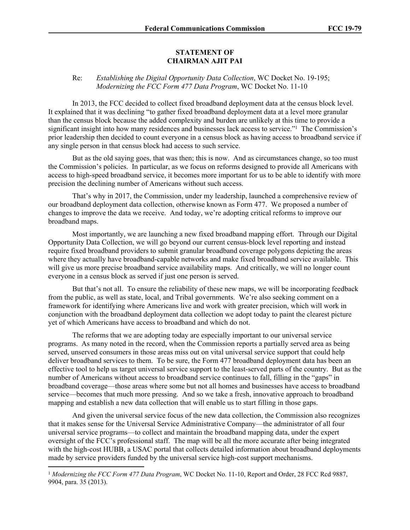## **STATEMENT OF CHAIRMAN AJIT PAI**

## Re: *Establishing the Digital Opportunity Data Collection*, WC Docket No. 19-195; *Modernizing the FCC Form 477 Data Program*, WC Docket No. 11-10

In 2013, the FCC decided to collect fixed broadband deployment data at the census block level. It explained that it was declining "to gather fixed broadband deployment data at a level more granular than the census block because the added complexity and burden are unlikely at this time to provide a significant insight into how many residences and businesses lack access to service."<sup>1</sup> The Commission's prior leadership then decided to count everyone in a census block as having access to broadband service if any single person in that census block had access to such service.

But as the old saying goes, that was then; this is now. And as circumstances change, so too must the Commission's policies. In particular, as we focus on reforms designed to provide all Americans with access to high-speed broadband service, it becomes more important for us to be able to identify with more precision the declining number of Americans without such access.

That's why in 2017, the Commission, under my leadership, launched a comprehensive review of our broadband deployment data collection, otherwise known as Form 477. We proposed a number of changes to improve the data we receive. And today, we're adopting critical reforms to improve our broadband maps.

Most importantly, we are launching a new fixed broadband mapping effort. Through our Digital Opportunity Data Collection, we will go beyond our current census-block level reporting and instead require fixed broadband providers to submit granular broadband coverage polygons depicting the areas where they actually have broadband-capable networks and make fixed broadband service available. This will give us more precise broadband service availability maps. And critically, we will no longer count everyone in a census block as served if just one person is served.

But that's not all. To ensure the reliability of these new maps, we will be incorporating feedback from the public, as well as state, local, and Tribal governments. We're also seeking comment on a framework for identifying where Americans live and work with greater precision, which will work in conjunction with the broadband deployment data collection we adopt today to paint the clearest picture yet of which Americans have access to broadband and which do not.

The reforms that we are adopting today are especially important to our universal service programs. As many noted in the record, when the Commission reports a partially served area as being served, unserved consumers in those areas miss out on vital universal service support that could help deliver broadband services to them. To be sure, the Form 477 broadband deployment data has been an effective tool to help us target universal service support to the least-served parts of the country. But as the number of Americans without access to broadband service continues to fall, filling in the "gaps" in broadband coverage—those areas where some but not all homes and businesses have access to broadband service—becomes that much more pressing. And so we take a fresh, innovative approach to broadband mapping and establish a new data collection that will enable us to start filling in those gaps.

And given the universal service focus of the new data collection, the Commission also recognizes that it makes sense for the Universal Service Administrative Company—the administrator of all four universal service programs—to collect and maintain the broadband mapping data, under the expert oversight of the FCC's professional staff. The map will be all the more accurate after being integrated with the high-cost HUBB, a USAC portal that collects detailed information about broadband deployments made by service providers funded by the universal service high-cost support mechanisms.

<sup>1</sup> *Modernizing the FCC Form 477 Data Program*, WC Docket No. 11-10, Report and Order, 28 FCC Rcd 9887, 9904, para. 35 (2013).